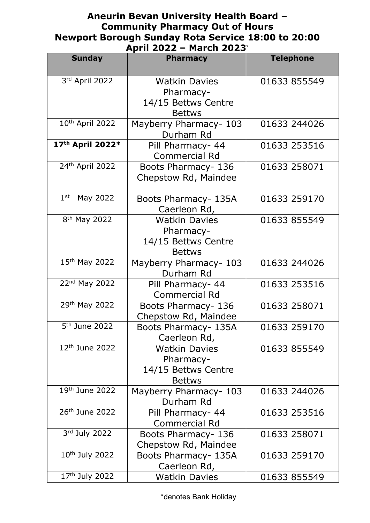## **Aneurin Bevan University Health Board – Community Pharmacy Out of Hours Newport Borough Sunday Rota Service 18:00 to 20:00 April 2022 – March 2023`**

|                             | APIII ŁUŁŁ<br>MAILII ZUZJ                                                 |                  |
|-----------------------------|---------------------------------------------------------------------------|------------------|
| <b>Sunday</b>               | <b>Pharmacy</b>                                                           | <b>Telephone</b> |
| 3rd April 2022              | <b>Watkin Davies</b><br>Pharmacy-<br>14/15 Bettws Centre<br><b>Bettws</b> | 01633 855549     |
| 10th April 2022             | Mayberry Pharmacy- 103<br>Durham Rd                                       | 01633 244026     |
| 17th April 2022*            | Pill Pharmacy- 44<br><b>Commercial Rd</b>                                 | 01633 253516     |
| 24th April 2022             | Boots Pharmacy- 136<br>Chepstow Rd, Maindee                               | 01633 258071     |
| 1 <sup>st</sup><br>May 2022 | Boots Pharmacy- 135A<br>Caerleon Rd,                                      | 01633 259170     |
| 8 <sup>th</sup> May 2022    | <b>Watkin Davies</b><br>Pharmacy-<br>14/15 Bettws Centre<br><b>Bettws</b> | 01633 855549     |
| 15th May 2022               | Mayberry Pharmacy- 103<br>Durham Rd                                       | 01633 244026     |
| 22nd May 2022               | Pill Pharmacy- 44<br><b>Commercial Rd</b>                                 | 01633 253516     |
| 29th May 2022               | Boots Pharmacy- 136<br>Chepstow Rd, Maindee                               | 01633 258071     |
| 5 <sup>th</sup> June 2022   | Boots Pharmacy- 135A<br>Caerleon Rd,                                      | 01633 259170     |
| 12 <sup>th</sup> June 2022  | <b>Watkin Davies</b><br>Pharmacy-<br>14/15 Bettws Centre<br><b>Bettws</b> | 01633 855549     |
| 19th June 2022              | Mayberry Pharmacy- 103<br>Durham Rd                                       | 01633 244026     |
| 26 <sup>th</sup> June 2022  | Pill Pharmacy- 44<br><b>Commercial Rd</b>                                 | 01633 253516     |
| 3rd July 2022               | Boots Pharmacy- 136<br>Chepstow Rd, Maindee                               | 01633 258071     |
| 10 <sup>th</sup> July 2022  | Boots Pharmacy- 135A<br>Caerleon Rd,                                      | 01633 259170     |
| 17th July 2022              | <b>Watkin Davies</b>                                                      | 01633 855549     |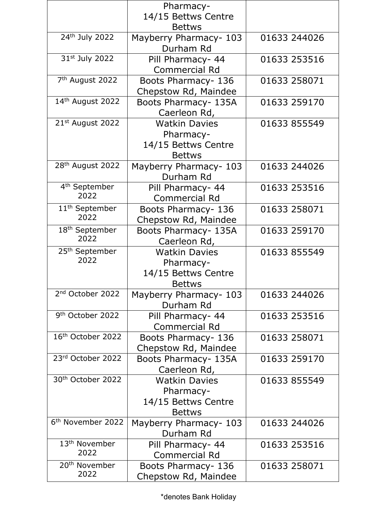|                               | Pharmacy-              |              |
|-------------------------------|------------------------|--------------|
|                               | 14/15 Bettws Centre    |              |
|                               | <b>Bettws</b>          |              |
| 24th July 2022                | Mayberry Pharmacy- 103 | 01633 244026 |
|                               | Durham Rd              |              |
| 31st July 2022                | Pill Pharmacy- 44      | 01633 253516 |
|                               | <b>Commercial Rd</b>   |              |
| 7 <sup>th</sup> August 2022   | Boots Pharmacy- 136    | 01633 258071 |
|                               | Chepstow Rd, Maindee   |              |
| 14th August 2022              | Boots Pharmacy- 135A   | 01633 259170 |
|                               | Caerleon Rd,           |              |
| 21st August 2022              | <b>Watkin Davies</b>   | 01633 855549 |
|                               | Pharmacy-              |              |
|                               | 14/15 Bettws Centre    |              |
|                               | <b>Bettws</b>          |              |
| 28 <sup>th</sup> August 2022  | Mayberry Pharmacy- 103 | 01633 244026 |
|                               | Durham Rd              |              |
| 4 <sup>th</sup> September     | Pill Pharmacy- 44      | 01633 253516 |
| 2022                          | <b>Commercial Rd</b>   |              |
| 11 <sup>th</sup> September    | Boots Pharmacy- 136    | 01633 258071 |
| 2022                          | Chepstow Rd, Maindee   |              |
| 18 <sup>th</sup> September    | Boots Pharmacy- 135A   | 01633 259170 |
| 2022                          | Caerleon Rd,           |              |
| 25 <sup>th</sup> September    | <b>Watkin Davies</b>   | 01633 855549 |
| 2022                          | Pharmacy-              |              |
|                               | 14/15 Bettws Centre    |              |
|                               | <b>Bettws</b>          |              |
| 2 <sup>nd</sup> October 2022  | Mayberry Pharmacy- 103 | 01633 244026 |
|                               | Durham Rd              |              |
| 9 <sup>th</sup> October 2022  | Pill Pharmacy- 44      | 01633 253516 |
|                               | <b>Commercial Rd</b>   |              |
| 16 <sup>th</sup> October 2022 | Boots Pharmacy- 136    | 01633 258071 |
|                               | Chepstow Rd, Maindee   |              |
| 23rd October 2022             | Boots Pharmacy- 135A   | 01633 259170 |
|                               | Caerleon Rd,           |              |
| 30th October 2022             | <b>Watkin Davies</b>   | 01633 855549 |
|                               | Pharmacy-              |              |
|                               | 14/15 Bettws Centre    |              |
|                               | <b>Bettws</b>          |              |
| 6 <sup>th</sup> November 2022 | Mayberry Pharmacy- 103 | 01633 244026 |
|                               | Durham Rd              |              |
| 13 <sup>th</sup> November     | Pill Pharmacy- 44      | 01633 253516 |
| 2022                          | <b>Commercial Rd</b>   |              |
| 20 <sup>th</sup> November     | Boots Pharmacy- 136    | 01633 258071 |
| 2022                          | Chepstow Rd, Maindee   |              |